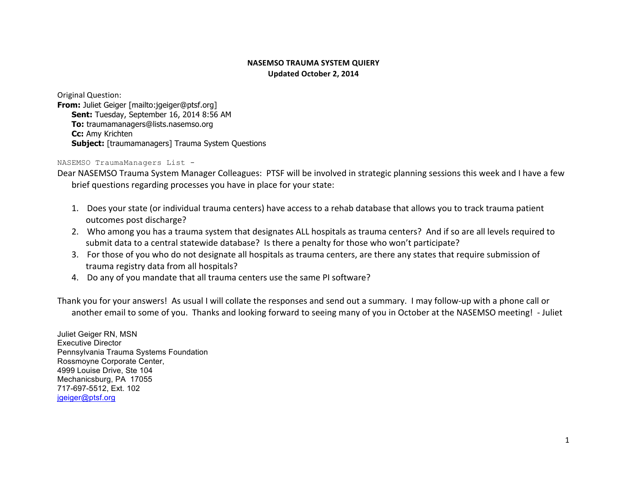## **NASEMSO TRAUMA SYSTEM QUIERY Updated October 2, 2014**

Original Question: **From:** Juliet Geiger [mailto:jgeiger@ptsf.org] **Sent:** Tuesday, September 16, 2014 8:56 AM **To:** traumamanagers@lists.nasemso.org **Cc:** Amy Krichten **Subject:** [traumamanagers] Trauma System Questions

NASEMSO TraumaManagers List -

Dear NASEMSO Trauma System Manager Colleagues: PTSF will be involved in strategic planning sessions this week and I have a few brief questions regarding processes you have in place for your state:

- 1. Does your state (or individual trauma centers) have access to a rehab database that allows you to track trauma patient outcomes post discharge?
- 2. Who among you has a trauma system that designates ALL hospitals as trauma centers? And if so are all levels required to submit data to a central statewide database? Is there a penalty for those who won't participate?
- 3. For those of you who do not designate all hospitals as trauma centers, are there any states that require submission of trauma registry data from all hospitals?
- 4. Do any of you mandate that all trauma centers use the same PI software?

Thank you for your answers! As usual I will collate the responses and send out a summary. I may follow-up with a phone call or another email to some of you. Thanks and looking forward to seeing many of you in October at the NASEMSO meeting! - Juliet

Juliet Geiger RN, MSN Executive Director Pennsylvania Trauma Systems Foundation Rossmoyne Corporate Center, 4999 Louise Drive, Ste 104 Mechanicsburg, PA 17055 717-697-5512, Ext. 102 jgeiger@ptsf.org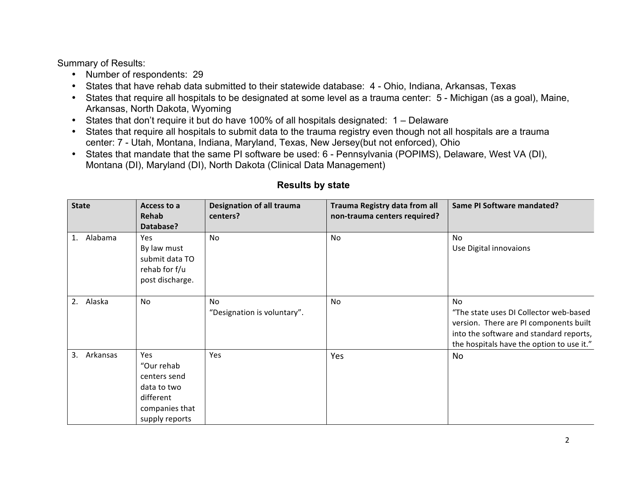Summary of Results:

- Number of respondents: 29
- States that have rehab data submitted to their statewide database: 4 Ohio, Indiana, Arkansas, Texas
- States that require all hospitals to be designated at some level as a trauma center: 5 Michigan (as a goal), Maine, Arkansas, North Dakota, Wyoming
- States that don't require it but do have 100% of all hospitals designated: 1 Delaware
- States that require all hospitals to submit data to the trauma registry even though not all hospitals are a trauma center: 7 - Utah, Montana, Indiana, Maryland, Texas, New Jersey(but not enforced), Ohio
- States that mandate that the same PI software be used: 6 Pennsylvania (POPIMS), Delaware, West VA (DI), Montana (DI), Maryland (DI), North Dakota (Clinical Data Management)

| <b>State</b>   | Access to a<br>Rehab<br>Database?                                                                 | Designation of all trauma<br>centers? | Trauma Registry data from all<br>non-trauma centers required? | Same PI Software mandated?                                                                                                                                                     |
|----------------|---------------------------------------------------------------------------------------------------|---------------------------------------|---------------------------------------------------------------|--------------------------------------------------------------------------------------------------------------------------------------------------------------------------------|
| 1. Alabama     | Yes<br>By law must<br>submit data TO<br>rehab for f/u<br>post discharge.                          | No                                    | No                                                            | No<br>Use Digital innovaions                                                                                                                                                   |
| Alaska<br>2.   | No                                                                                                | No<br>"Designation is voluntary".     | No                                                            | No<br>"The state uses DI Collector web-based<br>version. There are PI components built<br>into the software and standard reports,<br>the hospitals have the option to use it." |
| 3.<br>Arkansas | Yes<br>"Our rehab<br>centers send<br>data to two<br>different<br>companies that<br>supply reports | Yes                                   | Yes                                                           | No                                                                                                                                                                             |

## **Results by state**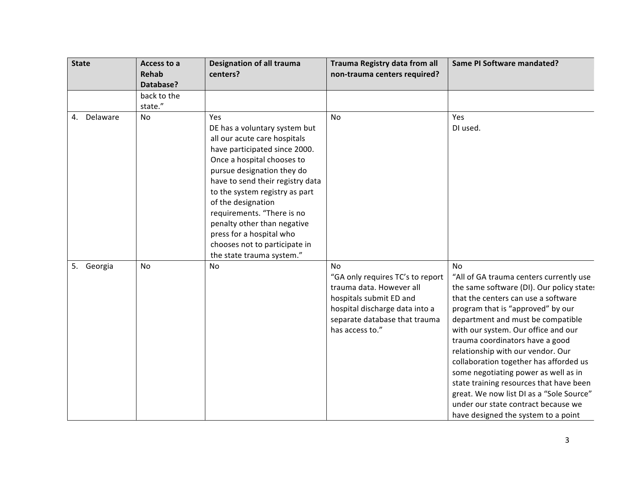| <b>State</b>   | Access to a<br><b>Rehab</b><br>Database? | <b>Designation of all trauma</b><br>centers?                                                                                                                                                                                                                                                                                                                                                                         | Trauma Registry data from all<br>non-trauma centers required?                                                                                                                       | Same PI Software mandated?                                                                                                                                                                                                                                                                                                                                                                                                                                                                                                                                                        |
|----------------|------------------------------------------|----------------------------------------------------------------------------------------------------------------------------------------------------------------------------------------------------------------------------------------------------------------------------------------------------------------------------------------------------------------------------------------------------------------------|-------------------------------------------------------------------------------------------------------------------------------------------------------------------------------------|-----------------------------------------------------------------------------------------------------------------------------------------------------------------------------------------------------------------------------------------------------------------------------------------------------------------------------------------------------------------------------------------------------------------------------------------------------------------------------------------------------------------------------------------------------------------------------------|
|                | back to the<br>state."                   |                                                                                                                                                                                                                                                                                                                                                                                                                      |                                                                                                                                                                                     |                                                                                                                                                                                                                                                                                                                                                                                                                                                                                                                                                                                   |
| Delaware<br>4. | No                                       | Yes<br>DE has a voluntary system but<br>all our acute care hospitals<br>have participated since 2000.<br>Once a hospital chooses to<br>pursue designation they do<br>have to send their registry data<br>to the system registry as part<br>of the designation<br>requirements. "There is no<br>penalty other than negative<br>press for a hospital who<br>chooses not to participate in<br>the state trauma system." | No                                                                                                                                                                                  | Yes<br>DI used.                                                                                                                                                                                                                                                                                                                                                                                                                                                                                                                                                                   |
| 5. Georgia     | <b>No</b>                                | No                                                                                                                                                                                                                                                                                                                                                                                                                   | No<br>"GA only requires TC's to report<br>trauma data. However all<br>hospitals submit ED and<br>hospital discharge data into a<br>separate database that trauma<br>has access to." | No<br>"All of GA trauma centers currently use<br>the same software (DI). Our policy state:<br>that the centers can use a software<br>program that is "approved" by our<br>department and must be compatible<br>with our system. Our office and our<br>trauma coordinators have a good<br>relationship with our vendor. Our<br>collaboration together has afforded us<br>some negotiating power as well as in<br>state training resources that have been<br>great. We now list DI as a "Sole Source"<br>under our state contract because we<br>have designed the system to a point |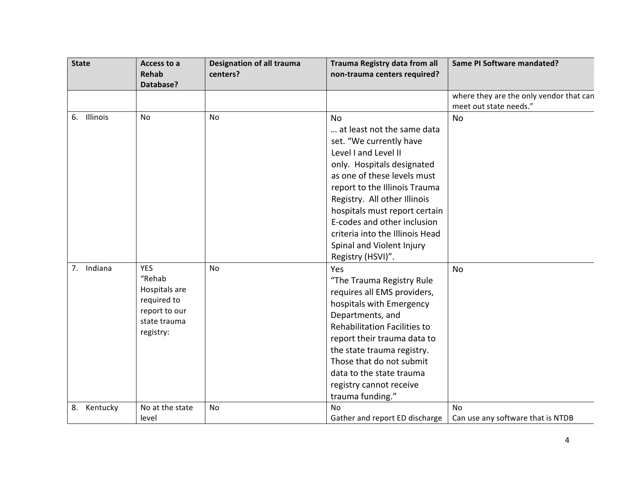| <b>State</b>   | Access to a<br><b>Rehab</b><br>Database?                                                           | <b>Designation of all trauma</b><br>centers? | Trauma Registry data from all<br>non-trauma centers required?                                                                                                                                                                                                                                                                                                                 | Same PI Software mandated?                                        |
|----------------|----------------------------------------------------------------------------------------------------|----------------------------------------------|-------------------------------------------------------------------------------------------------------------------------------------------------------------------------------------------------------------------------------------------------------------------------------------------------------------------------------------------------------------------------------|-------------------------------------------------------------------|
|                |                                                                                                    |                                              |                                                                                                                                                                                                                                                                                                                                                                               | where they are the only vendor that can<br>meet out state needs." |
| Illinois<br>6. | No                                                                                                 | No                                           | <b>No</b><br>at least not the same data<br>set. "We currently have<br>Level I and Level II<br>only. Hospitals designated<br>as one of these levels must<br>report to the Illinois Trauma<br>Registry. All other Illinois<br>hospitals must report certain<br>E-codes and other inclusion<br>criteria into the Illinois Head<br>Spinal and Violent Injury<br>Registry (HSVI)". | <b>No</b>                                                         |
| 7. Indiana     | <b>YES</b><br>"Rehab<br>Hospitals are<br>required to<br>report to our<br>state trauma<br>registry: | <b>No</b>                                    | Yes<br>"The Trauma Registry Rule<br>requires all EMS providers,<br>hospitals with Emergency<br>Departments, and<br>Rehabilitation Facilities to<br>report their trauma data to<br>the state trauma registry.<br>Those that do not submit<br>data to the state trauma<br>registry cannot receive<br>trauma funding."                                                           | <b>No</b>                                                         |
| Kentucky<br>8. | No at the state<br>level                                                                           | No                                           | <b>No</b><br>Gather and report ED discharge                                                                                                                                                                                                                                                                                                                                   | No<br>Can use any software that is NTDB                           |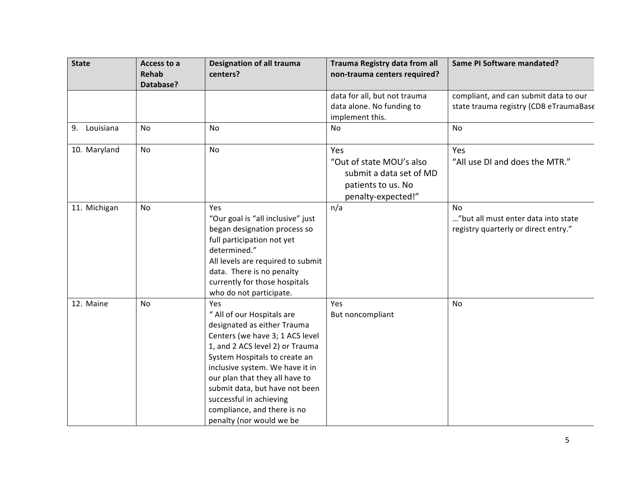| <b>State</b>    | Access to a<br><b>Rehab</b><br>Database? | <b>Designation of all trauma</b><br>centers?                                                                                                                                                                                                                                                                                                                         | Trauma Registry data from all<br>non-trauma centers required?                                          | Same PI Software mandated?                                                        |
|-----------------|------------------------------------------|----------------------------------------------------------------------------------------------------------------------------------------------------------------------------------------------------------------------------------------------------------------------------------------------------------------------------------------------------------------------|--------------------------------------------------------------------------------------------------------|-----------------------------------------------------------------------------------|
|                 |                                          |                                                                                                                                                                                                                                                                                                                                                                      | data for all, but not trauma<br>data alone. No funding to<br>implement this.                           | compliant, and can submit data to our<br>state trauma registry (CDB eTraumaBase   |
| Louisiana<br>9. | No                                       | No                                                                                                                                                                                                                                                                                                                                                                   | <b>No</b>                                                                                              | No                                                                                |
| 10. Maryland    | <b>No</b>                                | No                                                                                                                                                                                                                                                                                                                                                                   | Yes<br>"Out of state MOU's also<br>submit a data set of MD<br>patients to us. No<br>penalty-expected!" | Yes<br>"All use DI and does the MTR."                                             |
| 11. Michigan    | No                                       | Yes<br>"Our goal is "all inclusive" just<br>began designation process so<br>full participation not yet<br>determined."<br>All levels are required to submit<br>data. There is no penalty<br>currently for those hospitals<br>who do not participate.                                                                                                                 | n/a                                                                                                    | No<br>"but all must enter data into state<br>registry quarterly or direct entry." |
| 12. Maine       | No                                       | Yes<br>" All of our Hospitals are<br>designated as either Trauma<br>Centers (we have 3; 1 ACS level<br>1, and 2 ACS level 2) or Trauma<br>System Hospitals to create an<br>inclusive system. We have it in<br>our plan that they all have to<br>submit data, but have not been<br>successful in achieving<br>compliance, and there is no<br>penalty (nor would we be | Yes<br>But noncompliant                                                                                | No                                                                                |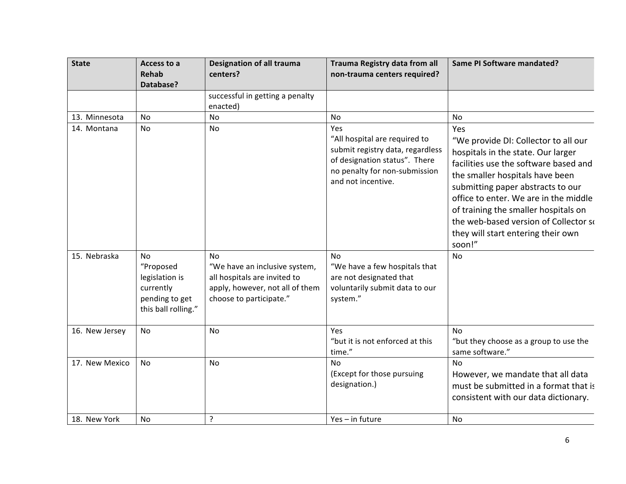| <b>State</b>   | Access to a<br><b>Rehab</b><br>Database?                                                | <b>Designation of all trauma</b><br>centers?                                                                                      | Trauma Registry data from all<br>non-trauma centers required?                                                                                                    | Same PI Software mandated?                                                                                                                                                                                                                                                                                                                                                   |
|----------------|-----------------------------------------------------------------------------------------|-----------------------------------------------------------------------------------------------------------------------------------|------------------------------------------------------------------------------------------------------------------------------------------------------------------|------------------------------------------------------------------------------------------------------------------------------------------------------------------------------------------------------------------------------------------------------------------------------------------------------------------------------------------------------------------------------|
|                |                                                                                         | successful in getting a penalty<br>enacted)                                                                                       |                                                                                                                                                                  |                                                                                                                                                                                                                                                                                                                                                                              |
| 13. Minnesota  | No                                                                                      | No                                                                                                                                | No                                                                                                                                                               | No                                                                                                                                                                                                                                                                                                                                                                           |
| 14. Montana    | No                                                                                      | No                                                                                                                                | Yes<br>"All hospital are required to<br>submit registry data, regardless<br>of designation status". There<br>no penalty for non-submission<br>and not incentive. | Yes<br>"We provide DI: Collector to all our<br>hospitals in the state. Our larger<br>facilities use the software based and<br>the smaller hospitals have been<br>submitting paper abstracts to our<br>office to enter. We are in the middle<br>of training the smaller hospitals on<br>the web-based version of Collector so<br>they will start entering their own<br>soon!" |
| 15. Nebraska   | No<br>"Proposed<br>legislation is<br>currently<br>pending to get<br>this ball rolling." | No<br>"We have an inclusive system,<br>all hospitals are invited to<br>apply, however, not all of them<br>choose to participate." | <b>No</b><br>"We have a few hospitals that<br>are not designated that<br>voluntarily submit data to our<br>system."                                              | <b>No</b>                                                                                                                                                                                                                                                                                                                                                                    |
| 16. New Jersey | <b>No</b>                                                                               | No                                                                                                                                | Yes<br>"but it is not enforced at this<br>time."                                                                                                                 | No<br>"but they choose as a group to use the<br>same software."                                                                                                                                                                                                                                                                                                              |
| 17. New Mexico | No                                                                                      | No                                                                                                                                | No<br>(Except for those pursuing<br>designation.)                                                                                                                | <b>No</b><br>However, we mandate that all data<br>must be submitted in a format that is<br>consistent with our data dictionary.                                                                                                                                                                                                                                              |
| 18. New York   | No                                                                                      | ?                                                                                                                                 | Yes - in future                                                                                                                                                  | No                                                                                                                                                                                                                                                                                                                                                                           |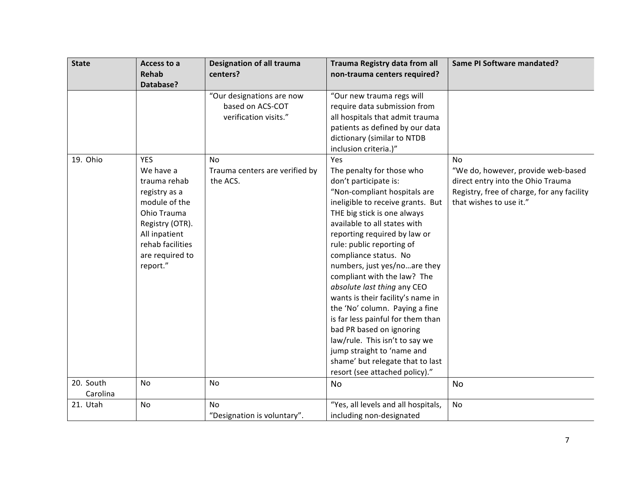| <b>State</b>          | Access to a<br><b>Rehab</b><br>Database?                                                                                                                                        | <b>Designation of all trauma</b><br>centers?                           | Trauma Registry data from all<br>non-trauma centers required?                                                                                                                                                                                                                                                                                                                                                                                                                                                                                                                                                                                                   | Same PI Software mandated?                                                                                                                                    |
|-----------------------|---------------------------------------------------------------------------------------------------------------------------------------------------------------------------------|------------------------------------------------------------------------|-----------------------------------------------------------------------------------------------------------------------------------------------------------------------------------------------------------------------------------------------------------------------------------------------------------------------------------------------------------------------------------------------------------------------------------------------------------------------------------------------------------------------------------------------------------------------------------------------------------------------------------------------------------------|---------------------------------------------------------------------------------------------------------------------------------------------------------------|
|                       |                                                                                                                                                                                 | "Our designations are now<br>based on ACS-COT<br>verification visits." | "Our new trauma regs will<br>require data submission from<br>all hospitals that admit trauma<br>patients as defined by our data<br>dictionary (similar to NTDB<br>inclusion criteria.)"                                                                                                                                                                                                                                                                                                                                                                                                                                                                         |                                                                                                                                                               |
| 19. Ohio              | <b>YES</b><br>We have a<br>trauma rehab<br>registry as a<br>module of the<br>Ohio Trauma<br>Registry (OTR).<br>All inpatient<br>rehab facilities<br>are required to<br>report." | <b>No</b><br>Trauma centers are verified by<br>the ACS.                | Yes<br>The penalty for those who<br>don't participate is:<br>"Non-compliant hospitals are<br>ineligible to receive grants. But<br>THE big stick is one always<br>available to all states with<br>reporting required by law or<br>rule: public reporting of<br>compliance status. No<br>numbers, just yes/noare they<br>compliant with the law? The<br>absolute last thing any CEO<br>wants is their facility's name in<br>the 'No' column. Paying a fine<br>is far less painful for them than<br>bad PR based on ignoring<br>law/rule. This isn't to say we<br>jump straight to 'name and<br>shame' but relegate that to last<br>resort (see attached policy)." | <b>No</b><br>"We do, however, provide web-based<br>direct entry into the Ohio Trauma<br>Registry, free of charge, for any facility<br>that wishes to use it." |
| 20. South<br>Carolina | No                                                                                                                                                                              | No                                                                     | No                                                                                                                                                                                                                                                                                                                                                                                                                                                                                                                                                                                                                                                              | No                                                                                                                                                            |
| 21. Utah              | No                                                                                                                                                                              | No<br>"Designation is voluntary".                                      | "Yes, all levels and all hospitals,<br>including non-designated                                                                                                                                                                                                                                                                                                                                                                                                                                                                                                                                                                                                 | No                                                                                                                                                            |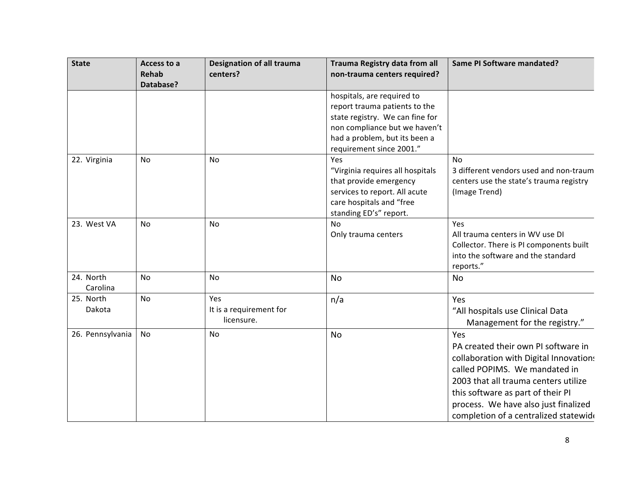| <b>State</b>          | Access to a<br><b>Rehab</b><br>Database? | <b>Designation of all trauma</b><br>centers? | Trauma Registry data from all<br>non-trauma centers required?                                                                                                                                | Same PI Software mandated?                                                                                                                                                                                                                                                          |
|-----------------------|------------------------------------------|----------------------------------------------|----------------------------------------------------------------------------------------------------------------------------------------------------------------------------------------------|-------------------------------------------------------------------------------------------------------------------------------------------------------------------------------------------------------------------------------------------------------------------------------------|
|                       |                                          |                                              | hospitals, are required to<br>report trauma patients to the<br>state registry. We can fine for<br>non compliance but we haven't<br>had a problem, but its been a<br>requirement since 2001." |                                                                                                                                                                                                                                                                                     |
| 22. Virginia          | No                                       | No                                           | Yes<br>"Virginia requires all hospitals<br>that provide emergency<br>services to report. All acute<br>care hospitals and "free<br>standing ED's" report.                                     | No<br>3 different vendors used and non-traum<br>centers use the state's trauma registry<br>(Image Trend)                                                                                                                                                                            |
| 23. West VA           | No                                       | No                                           | No<br>Only trauma centers                                                                                                                                                                    | Yes<br>All trauma centers in WV use DI<br>Collector. There is PI components built<br>into the software and the standard<br>reports."                                                                                                                                                |
| 24. North<br>Carolina | <b>No</b>                                | No                                           | <b>No</b>                                                                                                                                                                                    | <b>No</b>                                                                                                                                                                                                                                                                           |
| 25. North<br>Dakota   | <b>No</b>                                | Yes<br>It is a requirement for<br>licensure. | n/a                                                                                                                                                                                          | Yes<br>"All hospitals use Clinical Data<br>Management for the registry."                                                                                                                                                                                                            |
| 26. Pennsylvania      | No                                       | No                                           | <b>No</b>                                                                                                                                                                                    | Yes<br>PA created their own PI software in<br>collaboration with Digital Innovation:<br>called POPIMS. We mandated in<br>2003 that all trauma centers utilize<br>this software as part of their PI<br>process. We have also just finalized<br>completion of a centralized statewide |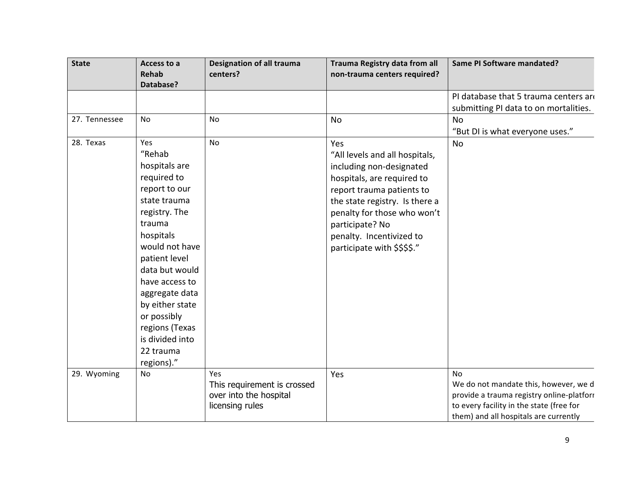| <b>State</b>  | Access to a<br><b>Rehab</b><br>Database?                                                                                                                                                                                                                                                                          | <b>Designation of all trauma</b><br>centers?                                    | Trauma Registry data from all<br>non-trauma centers required?                                                                                                                                                                                                               | <b>Same PI Software mandated?</b>                                                                                                                                                    |
|---------------|-------------------------------------------------------------------------------------------------------------------------------------------------------------------------------------------------------------------------------------------------------------------------------------------------------------------|---------------------------------------------------------------------------------|-----------------------------------------------------------------------------------------------------------------------------------------------------------------------------------------------------------------------------------------------------------------------------|--------------------------------------------------------------------------------------------------------------------------------------------------------------------------------------|
|               |                                                                                                                                                                                                                                                                                                                   |                                                                                 |                                                                                                                                                                                                                                                                             | PI database that 5 trauma centers are<br>submitting PI data to on mortalities.                                                                                                       |
| 27. Tennessee | No                                                                                                                                                                                                                                                                                                                | No                                                                              | No                                                                                                                                                                                                                                                                          | <b>No</b><br>"But DI is what everyone uses."                                                                                                                                         |
| 28. Texas     | Yes<br>"Rehab<br>hospitals are<br>required to<br>report to our<br>state trauma<br>registry. The<br>trauma<br>hospitals<br>would not have<br>patient level<br>data but would<br>have access to<br>aggregate data<br>by either state<br>or possibly<br>regions (Texas<br>is divided into<br>22 trauma<br>regions)." | <b>No</b>                                                                       | Yes<br>"All levels and all hospitals,<br>including non-designated<br>hospitals, are required to<br>report trauma patients to<br>the state registry. Is there a<br>penalty for those who won't<br>participate? No<br>penalty. Incentivized to<br>participate with \$\$\$\$." | No                                                                                                                                                                                   |
| 29. Wyoming   | No                                                                                                                                                                                                                                                                                                                | Yes<br>This requirement is crossed<br>over into the hospital<br>licensing rules | Yes                                                                                                                                                                                                                                                                         | <b>No</b><br>We do not mandate this, however, we d<br>provide a trauma registry online-platform<br>to every facility in the state (free for<br>them) and all hospitals are currently |